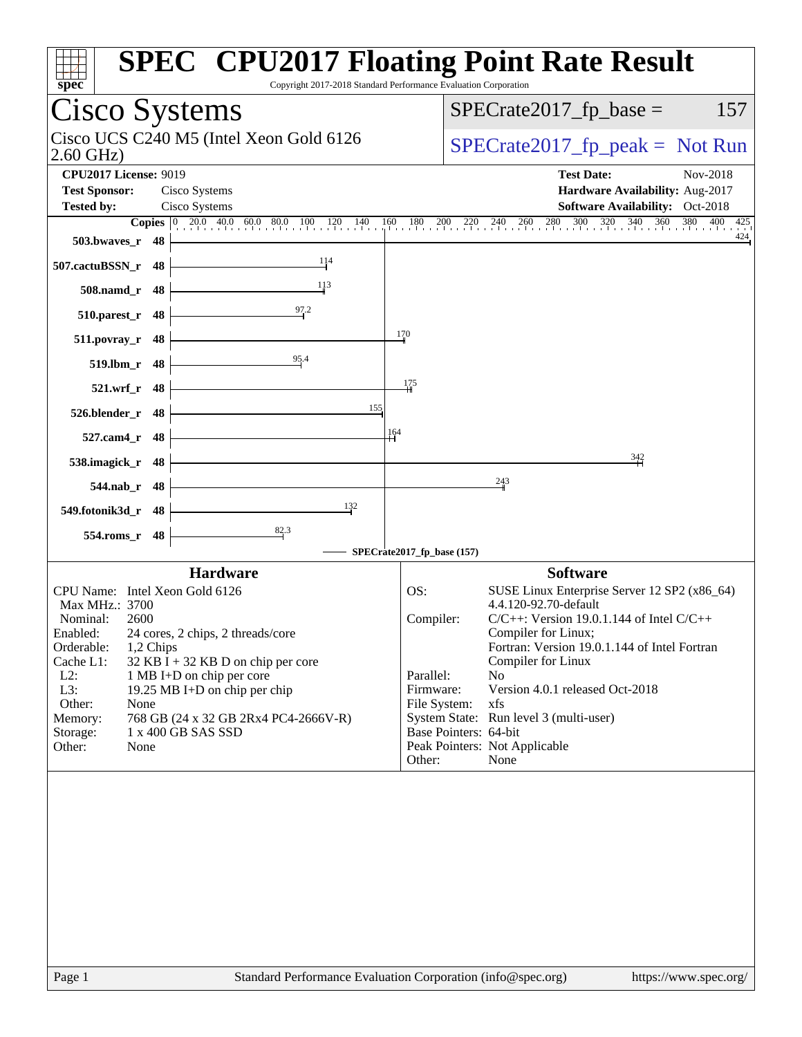| $spec*$                                                                                                                                                                                                                                                                                                                                                                                                                          | <b>SPEC<sup>®</sup> CPU2017 Floating Point Rate Result</b><br>Copyright 2017-2018 Standard Performance Evaluation Corporation                                                                                                                                                                                                                                                                                                                                                          |
|----------------------------------------------------------------------------------------------------------------------------------------------------------------------------------------------------------------------------------------------------------------------------------------------------------------------------------------------------------------------------------------------------------------------------------|----------------------------------------------------------------------------------------------------------------------------------------------------------------------------------------------------------------------------------------------------------------------------------------------------------------------------------------------------------------------------------------------------------------------------------------------------------------------------------------|
| Cisco Systems                                                                                                                                                                                                                                                                                                                                                                                                                    | $SPECrate2017_fp\_base =$<br>157                                                                                                                                                                                                                                                                                                                                                                                                                                                       |
| Cisco UCS C240 M5 (Intel Xeon Gold 6126<br>$2.60$ GHz)                                                                                                                                                                                                                                                                                                                                                                           | $SPECrate2017_fp\_peak = Not Run$                                                                                                                                                                                                                                                                                                                                                                                                                                                      |
| <b>CPU2017 License: 9019</b><br><b>Test Sponsor:</b><br>Cisco Systems<br>Cisco Systems<br><b>Tested by:</b><br><b>Copies</b> $\begin{bmatrix} 0 & 20.0 & 40.0 & 60.0 & 80.0 & 100 \end{bmatrix}$<br>120<br>140<br>503.bwayes_r 48                                                                                                                                                                                                | <b>Test Date:</b><br>Nov-2018<br>Hardware Availability: Aug-2017<br>Software Availability: Oct-2018<br>$\frac{280}{1}$<br>$\frac{300}{1}$<br>$\frac{320}{1}$<br>340 360<br>$\frac{380}{1}$ 400 425<br>$160$ $180$<br>200<br>$^{260}$<br>$^{220}$<br>$^{240}$<br>424                                                                                                                                                                                                                    |
| 114<br>507.cactuBSSN_r 48                                                                                                                                                                                                                                                                                                                                                                                                        |                                                                                                                                                                                                                                                                                                                                                                                                                                                                                        |
| 113<br>508.namd_r 48<br>97.2<br>510.parest_r 48                                                                                                                                                                                                                                                                                                                                                                                  |                                                                                                                                                                                                                                                                                                                                                                                                                                                                                        |
| $511. povray_r 48$<br>95.4<br>519.lbm_r 48                                                                                                                                                                                                                                                                                                                                                                                       | $\frac{170}{2}$                                                                                                                                                                                                                                                                                                                                                                                                                                                                        |
| 521.wrf_r 48                                                                                                                                                                                                                                                                                                                                                                                                                     | 175                                                                                                                                                                                                                                                                                                                                                                                                                                                                                    |
| 155<br>526.blender_r 48<br>527.cam4_r 48                                                                                                                                                                                                                                                                                                                                                                                         | 164                                                                                                                                                                                                                                                                                                                                                                                                                                                                                    |
| 538.imagick_r 48<br>544.nab_r 48                                                                                                                                                                                                                                                                                                                                                                                                 | 342<br>243                                                                                                                                                                                                                                                                                                                                                                                                                                                                             |
| 132<br>549.fotonik3d_r 48                                                                                                                                                                                                                                                                                                                                                                                                        |                                                                                                                                                                                                                                                                                                                                                                                                                                                                                        |
| 82.3<br>554.roms_r 48                                                                                                                                                                                                                                                                                                                                                                                                            | SPECrate2017_fp_base (157)                                                                                                                                                                                                                                                                                                                                                                                                                                                             |
| <b>Hardware</b><br>CPU Name: Intel Xeon Gold 6126<br>Max MHz.: 3700<br>Nominal:<br>2600<br>24 cores, 2 chips, 2 threads/core<br>Enabled:<br>Orderable:<br>1,2 Chips<br>Cache L1:<br>$32$ KB I + 32 KB D on chip per core<br>$L2$ :<br>1 MB I+D on chip per core<br>L3:<br>19.25 MB I+D on chip per chip<br>Other:<br>None<br>768 GB (24 x 32 GB 2Rx4 PC4-2666V-R)<br>Memory:<br>Storage:<br>1 x 400 GB SAS SSD<br>Other:<br>None | <b>Software</b><br>OS:<br>SUSE Linux Enterprise Server 12 SP2 (x86_64)<br>4.4.120-92.70-default<br>Compiler:<br>$C/C++$ : Version 19.0.1.144 of Intel $C/C++$<br>Compiler for Linux;<br>Fortran: Version 19.0.1.144 of Intel Fortran<br>Compiler for Linux<br>Parallel:<br>N <sub>o</sub><br>Version 4.0.1 released Oct-2018<br>Firmware:<br>File System:<br>xfs<br>System State: Run level 3 (multi-user)<br>Base Pointers: 64-bit<br>Peak Pointers: Not Applicable<br>Other:<br>None |
|                                                                                                                                                                                                                                                                                                                                                                                                                                  |                                                                                                                                                                                                                                                                                                                                                                                                                                                                                        |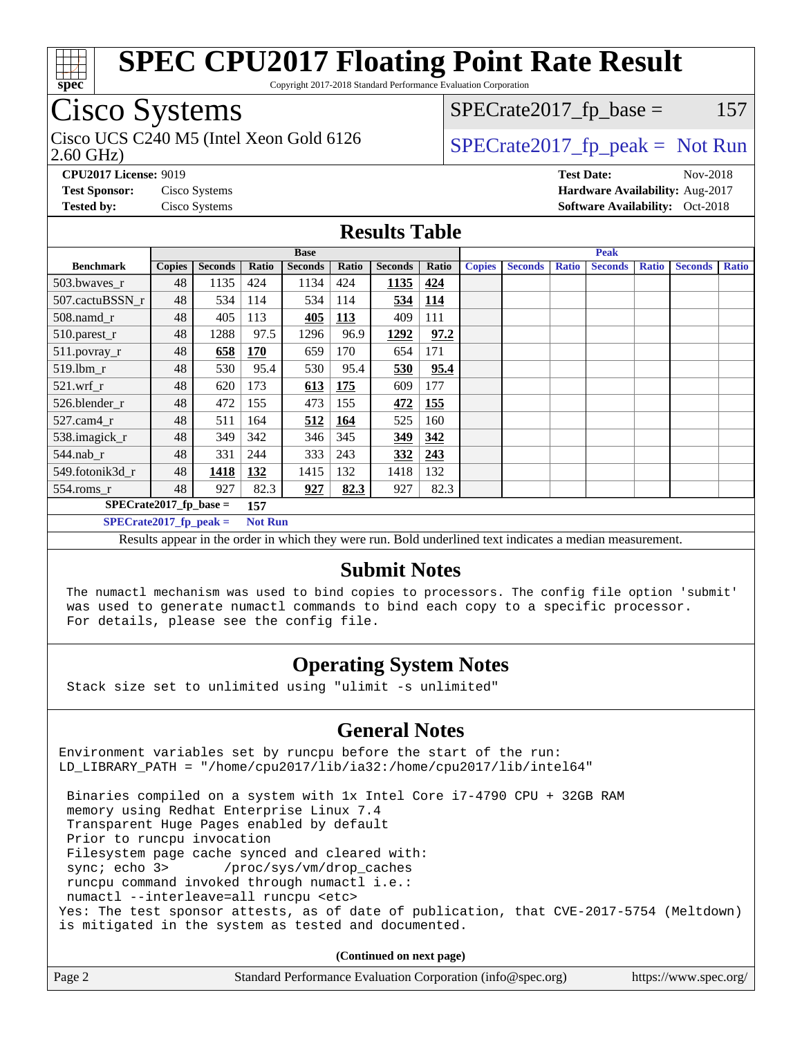

Copyright 2017-2018 Standard Performance Evaluation Corporation

## Cisco Systems

Cisco UCS C240 M5 (Intel Xeon Gold 6126  $\vert$  [SPECrate2017\\_fp\\_peak =](http://www.spec.org/auto/cpu2017/Docs/result-fields.html#SPECrate2017fppeak) Not Run

 $SPECTate2017<sub>fr</sub> base = 157$ 

2.60 GHz)

**[CPU2017 License:](http://www.spec.org/auto/cpu2017/Docs/result-fields.html#CPU2017License)** 9019 **[Test Date:](http://www.spec.org/auto/cpu2017/Docs/result-fields.html#TestDate)** Nov-2018 **[Test Sponsor:](http://www.spec.org/auto/cpu2017/Docs/result-fields.html#TestSponsor)** Cisco Systems **[Hardware Availability:](http://www.spec.org/auto/cpu2017/Docs/result-fields.html#HardwareAvailability)** Aug-2017 **[Tested by:](http://www.spec.org/auto/cpu2017/Docs/result-fields.html#Testedby)** Cisco Systems **[Software Availability:](http://www.spec.org/auto/cpu2017/Docs/result-fields.html#SoftwareAvailability)** Oct-2018

#### **[Results Table](http://www.spec.org/auto/cpu2017/Docs/result-fields.html#ResultsTable)**

| <b>Base</b>                      |               |                |                |                | <b>Peak</b> |                |       |               |                |              |                |              |                |              |
|----------------------------------|---------------|----------------|----------------|----------------|-------------|----------------|-------|---------------|----------------|--------------|----------------|--------------|----------------|--------------|
| <b>Benchmark</b>                 | <b>Copies</b> | <b>Seconds</b> | Ratio          | <b>Seconds</b> | Ratio       | <b>Seconds</b> | Ratio | <b>Copies</b> | <b>Seconds</b> | <b>Ratio</b> | <b>Seconds</b> | <b>Ratio</b> | <b>Seconds</b> | <b>Ratio</b> |
| 503.bwayes r                     | 48            | 1135           | 424            | 1134           | 424         | 1135           | 424   |               |                |              |                |              |                |              |
| 507.cactuBSSN r                  | 48            | 534            | 114            | 534            | 114         | 534            | 114   |               |                |              |                |              |                |              |
| $508$ .namd $r$                  | 48            | 405            | 113            | 405            | 113         | 409            | 111   |               |                |              |                |              |                |              |
| 510.parest_r                     | 48            | 1288           | 97.5           | 1296           | 96.9        | 1292           | 97.2  |               |                |              |                |              |                |              |
| 511.povray_r                     | 48            | 658            | <b>170</b>     | 659            | 170         | 654            | 171   |               |                |              |                |              |                |              |
| 519.lbm r                        | 48            | 530            | 95.4           | 530            | 95.4        | 530            | 95.4  |               |                |              |                |              |                |              |
| $521$ .wrf r                     | 48            | 620            | 173            | 613            | 175         | 609            | 177   |               |                |              |                |              |                |              |
| 526.blender r                    | 48            | 472            | 155            | 473            | 155         | 472            | 155   |               |                |              |                |              |                |              |
| $527.cam4_r$                     | 48            | 511            | 164            | 512            | <u>164</u>  | 525            | 160   |               |                |              |                |              |                |              |
| 538.imagick_r                    | 48            | 349            | 342            | 346            | 345         | 349            | 342   |               |                |              |                |              |                |              |
| $544$ .nab_r                     | 48            | 331            | 244            | 333            | 243         | 332            | 243   |               |                |              |                |              |                |              |
| 549.fotonik3d r                  | 48            | 1418           | 132            | 1415           | 132         | 1418           | 132   |               |                |              |                |              |                |              |
| $554$ .roms_r                    | 48            | 927            | 82.3           | 927            | 82.3        | 927            | 82.3  |               |                |              |                |              |                |              |
| $SPECrate2017_fp\_base =$<br>157 |               |                |                |                |             |                |       |               |                |              |                |              |                |              |
| $SPECrate2017$ fp peak =         |               |                | <b>Not Run</b> |                |             |                |       |               |                |              |                |              |                |              |

Results appear in the [order in which they were run.](http://www.spec.org/auto/cpu2017/Docs/result-fields.html#RunOrder) Bold underlined text [indicates a median measurement.](http://www.spec.org/auto/cpu2017/Docs/result-fields.html#Median)

#### **[Submit Notes](http://www.spec.org/auto/cpu2017/Docs/result-fields.html#SubmitNotes)**

 The numactl mechanism was used to bind copies to processors. The config file option 'submit' was used to generate numactl commands to bind each copy to a specific processor. For details, please see the config file.

#### **[Operating System Notes](http://www.spec.org/auto/cpu2017/Docs/result-fields.html#OperatingSystemNotes)**

Stack size set to unlimited using "ulimit -s unlimited"

#### **[General Notes](http://www.spec.org/auto/cpu2017/Docs/result-fields.html#GeneralNotes)**

Environment variables set by runcpu before the start of the run: LD\_LIBRARY\_PATH = "/home/cpu2017/lib/ia32:/home/cpu2017/lib/intel64"

 Binaries compiled on a system with 1x Intel Core i7-4790 CPU + 32GB RAM memory using Redhat Enterprise Linux 7.4 Transparent Huge Pages enabled by default Prior to runcpu invocation Filesystem page cache synced and cleared with: sync; echo 3> /proc/sys/vm/drop\_caches runcpu command invoked through numactl i.e.: numactl --interleave=all runcpu <etc> Yes: The test sponsor attests, as of date of publication, that CVE-2017-5754 (Meltdown) is mitigated in the system as tested and documented.

**(Continued on next page)**

| Page 2 | Standard Performance Evaluation Corporation (info@spec.org) | https://www.spec.org/ |
|--------|-------------------------------------------------------------|-----------------------|
|--------|-------------------------------------------------------------|-----------------------|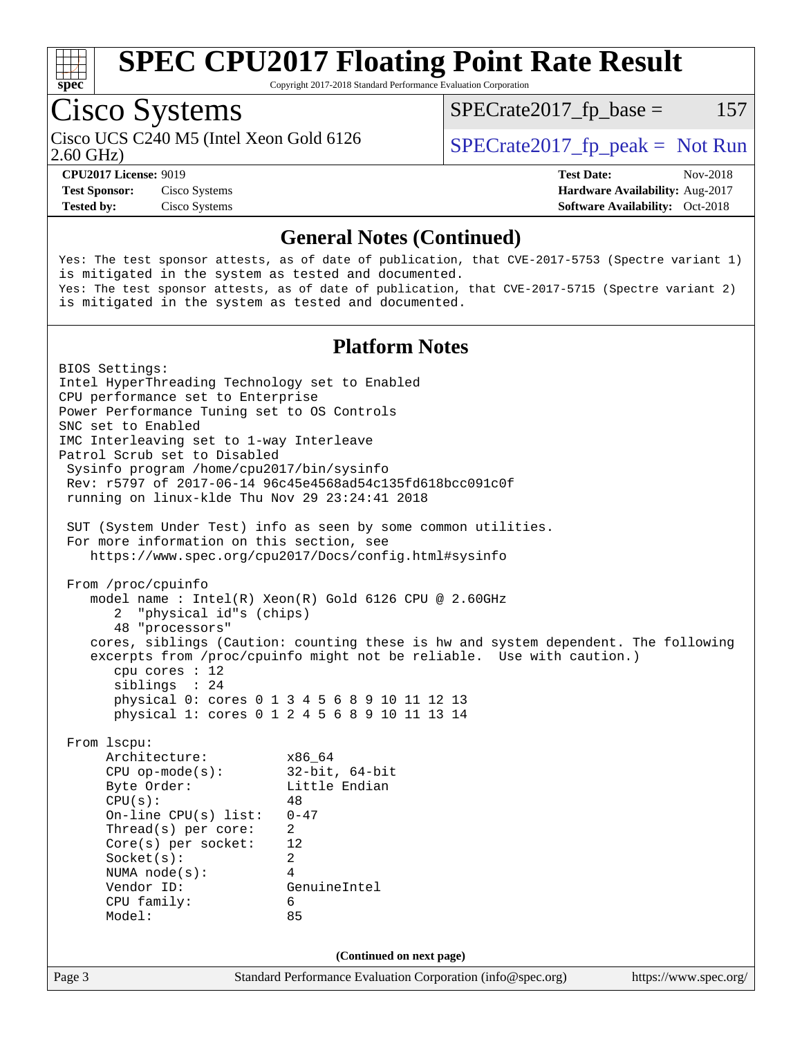

Copyright 2017-2018 Standard Performance Evaluation Corporation

## Cisco Systems

2.60 GHz) Cisco UCS C240 M5 (Intel Xeon Gold 6126  $\vert$  [SPECrate2017\\_fp\\_peak =](http://www.spec.org/auto/cpu2017/Docs/result-fields.html#SPECrate2017fppeak) Not Run

 $SPECTate2017<sub>fr</sub> base = 157$ 

**[Test Sponsor:](http://www.spec.org/auto/cpu2017/Docs/result-fields.html#TestSponsor)** Cisco Systems **[Hardware Availability:](http://www.spec.org/auto/cpu2017/Docs/result-fields.html#HardwareAvailability)** Aug-2017

**[CPU2017 License:](http://www.spec.org/auto/cpu2017/Docs/result-fields.html#CPU2017License)** 9019 **[Test Date:](http://www.spec.org/auto/cpu2017/Docs/result-fields.html#TestDate)** Nov-2018 **[Tested by:](http://www.spec.org/auto/cpu2017/Docs/result-fields.html#Testedby)** Cisco Systems **[Software Availability:](http://www.spec.org/auto/cpu2017/Docs/result-fields.html#SoftwareAvailability)** Oct-2018

#### **[General Notes \(Continued\)](http://www.spec.org/auto/cpu2017/Docs/result-fields.html#GeneralNotes)**

Yes: The test sponsor attests, as of date of publication, that CVE-2017-5753 (Spectre variant 1) is mitigated in the system as tested and documented. Yes: The test sponsor attests, as of date of publication, that CVE-2017-5715 (Spectre variant 2) is mitigated in the system as tested and documented.

#### **[Platform Notes](http://www.spec.org/auto/cpu2017/Docs/result-fields.html#PlatformNotes)**

Page 3 Standard Performance Evaluation Corporation [\(info@spec.org\)](mailto:info@spec.org) <https://www.spec.org/> BIOS Settings: Intel HyperThreading Technology set to Enabled CPU performance set to Enterprise Power Performance Tuning set to OS Controls SNC set to Enabled IMC Interleaving set to 1-way Interleave Patrol Scrub set to Disabled Sysinfo program /home/cpu2017/bin/sysinfo Rev: r5797 of 2017-06-14 96c45e4568ad54c135fd618bcc091c0f running on linux-klde Thu Nov 29 23:24:41 2018 SUT (System Under Test) info as seen by some common utilities. For more information on this section, see <https://www.spec.org/cpu2017/Docs/config.html#sysinfo> From /proc/cpuinfo model name : Intel(R) Xeon(R) Gold 6126 CPU @ 2.60GHz 2 "physical id"s (chips) 48 "processors" cores, siblings (Caution: counting these is hw and system dependent. The following excerpts from /proc/cpuinfo might not be reliable. Use with caution.) cpu cores : 12 siblings : 24 physical 0: cores 0 1 3 4 5 6 8 9 10 11 12 13 physical 1: cores 0 1 2 4 5 6 8 9 10 11 13 14 From lscpu: Architecture: x86\_64 CPU op-mode(s): 32-bit, 64-bit Byte Order: Little Endian  $CPU(s):$  48 On-line CPU(s) list: 0-47 Thread(s) per core: 2 Core(s) per socket: 12 Socket(s): 2 NUMA node(s): 4 Vendor ID: GenuineIntel CPU family: 6 Model: 85 **(Continued on next page)**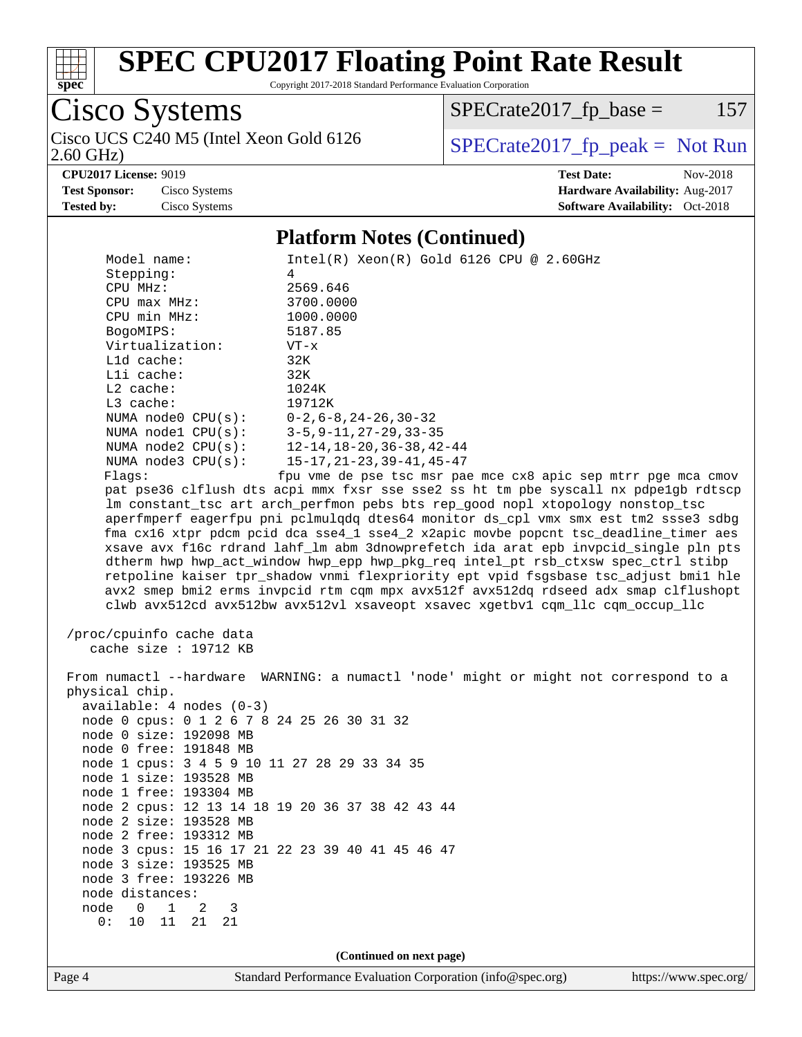

Copyright 2017-2018 Standard Performance Evaluation Corporation

Cisco Systems

 $SPECrate2017_fp\_base = 157$ 

2.60 GHz)

Cisco UCS C240 M5 (Intel Xeon Gold 6126  $SPECrate2017_fp\_peak = Not Run$ 

**[CPU2017 License:](http://www.spec.org/auto/cpu2017/Docs/result-fields.html#CPU2017License)** 9019 **[Test Date:](http://www.spec.org/auto/cpu2017/Docs/result-fields.html#TestDate)** Nov-2018 **[Test Sponsor:](http://www.spec.org/auto/cpu2017/Docs/result-fields.html#TestSponsor)** Cisco Systems **[Hardware Availability:](http://www.spec.org/auto/cpu2017/Docs/result-fields.html#HardwareAvailability)** Aug-2017 **[Tested by:](http://www.spec.org/auto/cpu2017/Docs/result-fields.html#Testedby)** Cisco Systems **[Software Availability:](http://www.spec.org/auto/cpu2017/Docs/result-fields.html#SoftwareAvailability)** Oct-2018

#### **[Platform Notes \(Continued\)](http://www.spec.org/auto/cpu2017/Docs/result-fields.html#PlatformNotes)**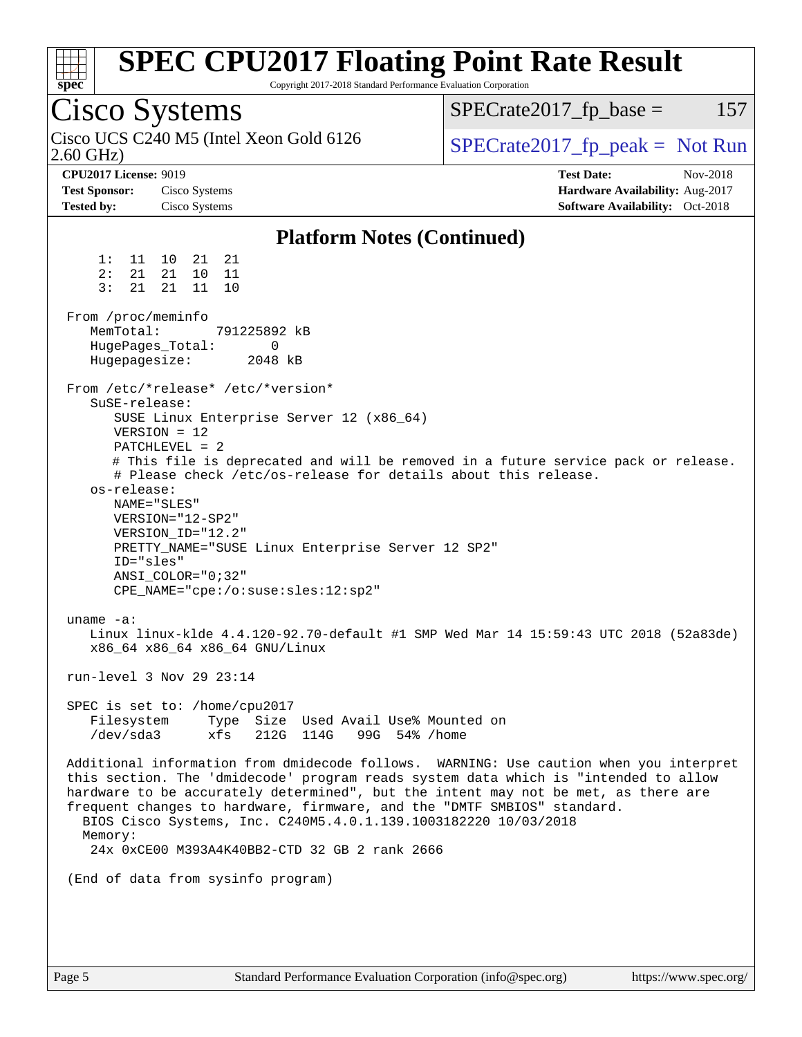| spec                                                                      | <b>SPEC CPU2017 Floating Point Rate Result</b><br>Copyright 2017-2018 Standard Performance Evaluation Corporation                                                                                                                                                                                                                                                        |                                                                                                                                                                            |
|---------------------------------------------------------------------------|--------------------------------------------------------------------------------------------------------------------------------------------------------------------------------------------------------------------------------------------------------------------------------------------------------------------------------------------------------------------------|----------------------------------------------------------------------------------------------------------------------------------------------------------------------------|
| Cisco Systems                                                             |                                                                                                                                                                                                                                                                                                                                                                          | $SPECrate2017_fp\_base =$<br>157                                                                                                                                           |
| $2.60$ GHz)                                                               | Cisco UCS C240 M5 (Intel Xeon Gold 6126)                                                                                                                                                                                                                                                                                                                                 | $SPECrate2017fr peak = Not Run$                                                                                                                                            |
| <b>CPU2017 License: 9019</b><br><b>Test Sponsor:</b><br><b>Tested by:</b> | Cisco Systems<br>Cisco Systems                                                                                                                                                                                                                                                                                                                                           | <b>Test Date:</b><br>Nov-2018<br>Hardware Availability: Aug-2017<br><b>Software Availability:</b> Oct-2018                                                                 |
|                                                                           | <b>Platform Notes (Continued)</b>                                                                                                                                                                                                                                                                                                                                        |                                                                                                                                                                            |
| 1:<br>2:<br>21<br>3:<br>21                                                | 21<br>11 10 21<br>21 10<br>11<br>21<br>11<br>10                                                                                                                                                                                                                                                                                                                          |                                                                                                                                                                            |
| From /proc/meminfo<br>MemTotal:<br>HugePages_Total:<br>Hugepagesize:      | 791225892 kB<br>0<br>2048 kB                                                                                                                                                                                                                                                                                                                                             |                                                                                                                                                                            |
| SuSE-release:<br>os-release:<br>ID="sles"<br>uname $-a$ :                 | From /etc/*release* /etc/*version*<br>SUSE Linux Enterprise Server 12 (x86_64)<br>$VERSION = 12$<br>PATCHLEVEL = 2<br># Please check /etc/os-release for details about this release.<br>NAME="SLES"<br>VERSION="12-SP2"<br>VERSION ID="12.2"<br>PRETTY_NAME="SUSE Linux Enterprise Server 12 SP2"<br>$ANSI$ _COLOR=" $0:32$ "<br>CPE_NAME="cpe:/o:suse:sles:12:sp2"      | # This file is deprecated and will be removed in a future service pack or release.<br>Linux linux-klde 4.4.120-92.70-default #1 SMP Wed Mar 14 15:59:43 UTC 2018 (52a83de) |
|                                                                           | x86 64 x86 64 x86 64 GNU/Linux<br>run-level 3 Nov 29 23:14                                                                                                                                                                                                                                                                                                               |                                                                                                                                                                            |
| Filesystem<br>$/\text{dev/sda}$ 3                                         | SPEC is set to: /home/cpu2017<br>Type Size Used Avail Use% Mounted on<br>xfs<br>212G 114G<br>99G 54% / home                                                                                                                                                                                                                                                              |                                                                                                                                                                            |
| Memory:                                                                   | this section. The 'dmidecode' program reads system data which is "intended to allow<br>hardware to be accurately determined", but the intent may not be met, as there are<br>frequent changes to hardware, firmware, and the "DMTF SMBIOS" standard.<br>BIOS Cisco Systems, Inc. C240M5.4.0.1.139.1003182220 10/03/2018<br>24x 0xCE00 M393A4K40BB2-CTD 32 GB 2 rank 2666 | Additional information from dmidecode follows. WARNING: Use caution when you interpret                                                                                     |
|                                                                           | (End of data from sysinfo program)                                                                                                                                                                                                                                                                                                                                       |                                                                                                                                                                            |
|                                                                           |                                                                                                                                                                                                                                                                                                                                                                          |                                                                                                                                                                            |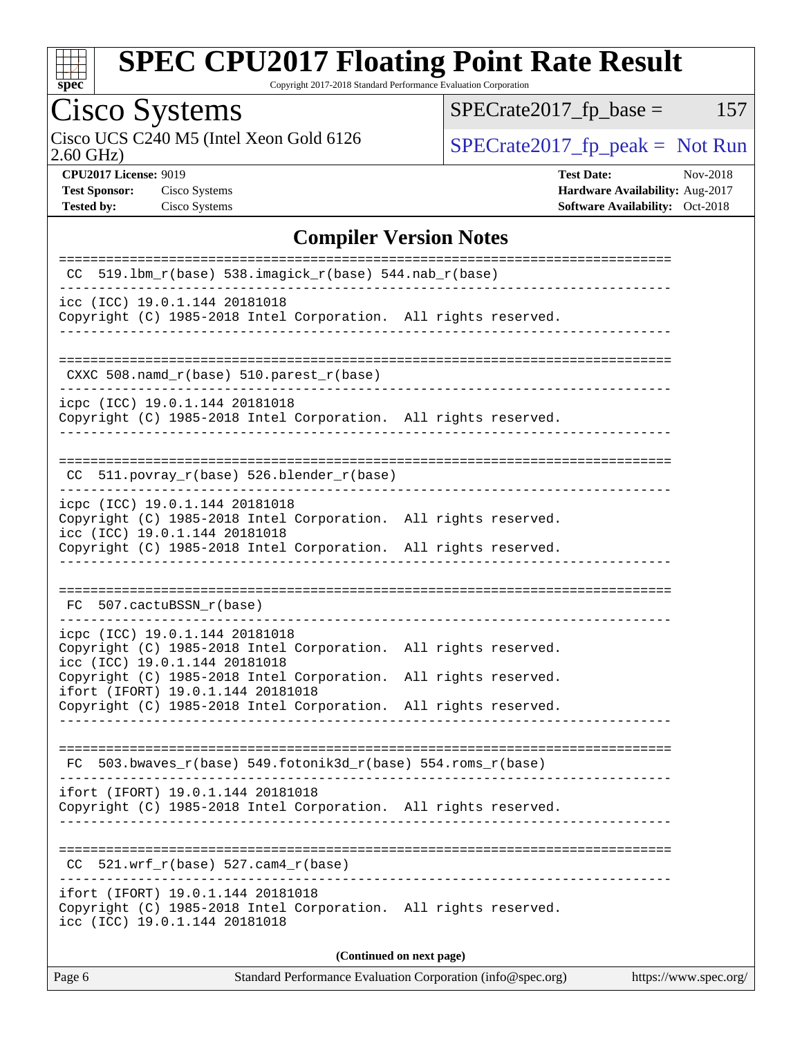

Copyright 2017-2018 Standard Performance Evaluation Corporation

# Cisco Systems<br>Cisco UCS C240 M5 (Intel Xeon Gold 6126

2.60 GHz)

 $SPECTate2017_fp\_base = 157$ 

 $SPECTate 2017_fp\_peak = Not Run$ 

**[CPU2017 License:](http://www.spec.org/auto/cpu2017/Docs/result-fields.html#CPU2017License)** 9019 **[Test Date:](http://www.spec.org/auto/cpu2017/Docs/result-fields.html#TestDate)** Nov-2018 **[Test Sponsor:](http://www.spec.org/auto/cpu2017/Docs/result-fields.html#TestSponsor)** Cisco Systems **[Hardware Availability:](http://www.spec.org/auto/cpu2017/Docs/result-fields.html#HardwareAvailability)** Aug-2017 **[Tested by:](http://www.spec.org/auto/cpu2017/Docs/result-fields.html#Testedby)** Cisco Systems **[Software Availability:](http://www.spec.org/auto/cpu2017/Docs/result-fields.html#SoftwareAvailability)** Oct-2018

#### **[Compiler Version Notes](http://www.spec.org/auto/cpu2017/Docs/result-fields.html#CompilerVersionNotes)**

| CC 519.1bm_r(base) 538.imagick_r(base) 544.nab_r(base)                                                                                                                     |  |  |  |  |  |
|----------------------------------------------------------------------------------------------------------------------------------------------------------------------------|--|--|--|--|--|
| icc (ICC) 19.0.1.144 20181018<br>Copyright (C) 1985-2018 Intel Corporation. All rights reserved.                                                                           |  |  |  |  |  |
| CXXC 508.namd_r(base) 510.parest_r(base)                                                                                                                                   |  |  |  |  |  |
| icpc (ICC) 19.0.1.144 20181018<br>Copyright (C) 1985-2018 Intel Corporation. All rights reserved.                                                                          |  |  |  |  |  |
| $CC$ 511.povray $r(base)$ 526.blender $r(base)$                                                                                                                            |  |  |  |  |  |
| icpc (ICC) 19.0.1.144 20181018<br>Copyright (C) 1985-2018 Intel Corporation. All rights reserved.<br>icc (ICC) 19.0.1.144 20181018                                         |  |  |  |  |  |
| Copyright (C) 1985-2018 Intel Corporation. All rights reserved.                                                                                                            |  |  |  |  |  |
| FC 507.cactuBSSN_r(base)                                                                                                                                                   |  |  |  |  |  |
| icpc (ICC) 19.0.1.144 20181018<br>Copyright (C) 1985-2018 Intel Corporation. All rights reserved.<br>icc (ICC) 19.0.1.144 20181018                                         |  |  |  |  |  |
| Copyright (C) 1985-2018 Intel Corporation.<br>All rights reserved.<br>ifort (IFORT) 19.0.1.144 20181018<br>Copyright (C) 1985-2018 Intel Corporation. All rights reserved. |  |  |  |  |  |
| 503.bwaves_r(base) 549.fotonik3d_r(base) 554.roms_r(base)<br>FC.                                                                                                           |  |  |  |  |  |
| ifort (IFORT) 19.0.1.144 20181018<br>Copyright (C) 1985-2018 Intel Corporation. All rights reserved.                                                                       |  |  |  |  |  |
| $521.wrf_r(base) 527.cam4_r(base)$                                                                                                                                         |  |  |  |  |  |
| ifort (IFORT) 19.0.1.144 20181018<br>Copyright (C) 1985-2018 Intel Corporation. All rights reserved.<br>icc (ICC) 19.0.1.144 20181018                                      |  |  |  |  |  |
| (Continued on next page)                                                                                                                                                   |  |  |  |  |  |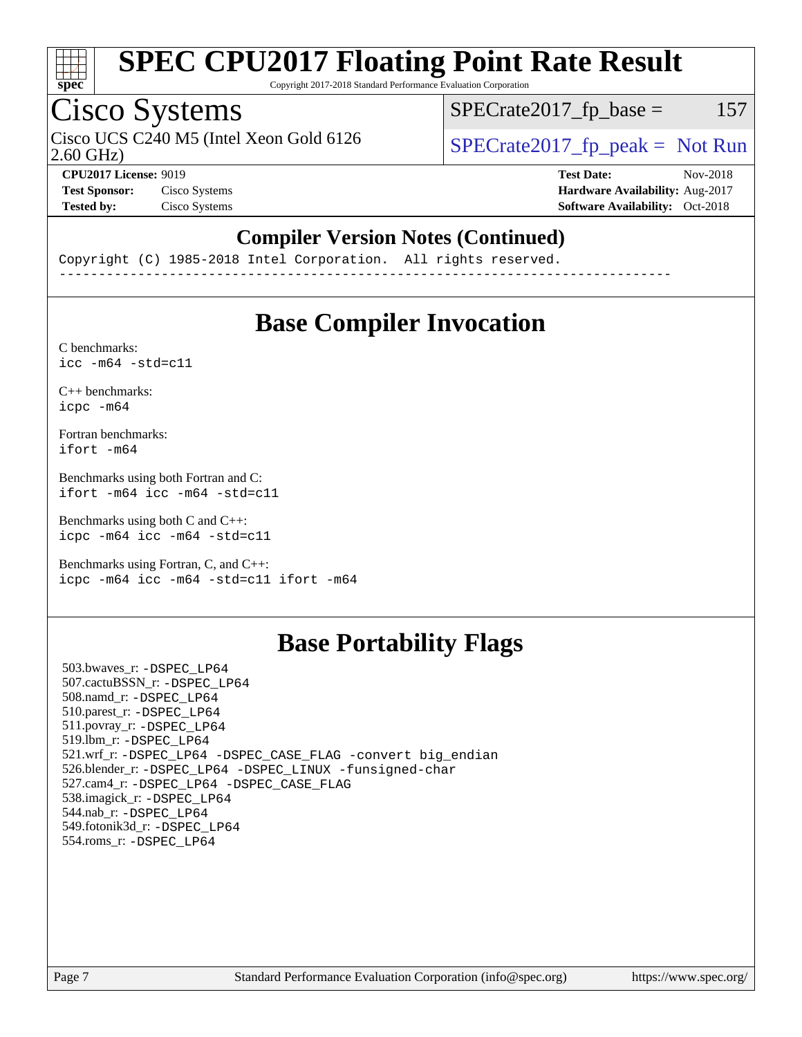

Copyright 2017-2018 Standard Performance Evaluation Corporation

## Cisco Systems

Cisco UCS C240 M5 (Intel Xeon Gold 6126  $\vert$  [SPECrate2017\\_fp\\_peak =](http://www.spec.org/auto/cpu2017/Docs/result-fields.html#SPECrate2017fppeak) Not Run

 $SPECTate2017<sub>fr</sub> base = 157$ 

2.60 GHz)

**[CPU2017 License:](http://www.spec.org/auto/cpu2017/Docs/result-fields.html#CPU2017License)** 9019 **[Test Date:](http://www.spec.org/auto/cpu2017/Docs/result-fields.html#TestDate)** Nov-2018 **[Test Sponsor:](http://www.spec.org/auto/cpu2017/Docs/result-fields.html#TestSponsor)** Cisco Systems **[Hardware Availability:](http://www.spec.org/auto/cpu2017/Docs/result-fields.html#HardwareAvailability)** Aug-2017 **[Tested by:](http://www.spec.org/auto/cpu2017/Docs/result-fields.html#Testedby)** Cisco Systems **[Software Availability:](http://www.spec.org/auto/cpu2017/Docs/result-fields.html#SoftwareAvailability)** Oct-2018

#### **[Compiler Version Notes \(Continued\)](http://www.spec.org/auto/cpu2017/Docs/result-fields.html#CompilerVersionNotes)**

Copyright (C) 1985-2018 Intel Corporation. All rights reserved. ------------------------------------------------------------------------------

### **[Base Compiler Invocation](http://www.spec.org/auto/cpu2017/Docs/result-fields.html#BaseCompilerInvocation)**

[C benchmarks](http://www.spec.org/auto/cpu2017/Docs/result-fields.html#Cbenchmarks):  $\text{icc}$  -m64 -std=c11

[C++ benchmarks:](http://www.spec.org/auto/cpu2017/Docs/result-fields.html#CXXbenchmarks) [icpc -m64](http://www.spec.org/cpu2017/results/res2018q4/cpu2017-20181211-10250.flags.html#user_CXXbase_intel_icpc_64bit_4ecb2543ae3f1412ef961e0650ca070fec7b7afdcd6ed48761b84423119d1bf6bdf5cad15b44d48e7256388bc77273b966e5eb805aefd121eb22e9299b2ec9d9)

[Fortran benchmarks](http://www.spec.org/auto/cpu2017/Docs/result-fields.html#Fortranbenchmarks): [ifort -m64](http://www.spec.org/cpu2017/results/res2018q4/cpu2017-20181211-10250.flags.html#user_FCbase_intel_ifort_64bit_24f2bb282fbaeffd6157abe4f878425411749daecae9a33200eee2bee2fe76f3b89351d69a8130dd5949958ce389cf37ff59a95e7a40d588e8d3a57e0c3fd751)

[Benchmarks using both Fortran and C](http://www.spec.org/auto/cpu2017/Docs/result-fields.html#BenchmarksusingbothFortranandC): [ifort -m64](http://www.spec.org/cpu2017/results/res2018q4/cpu2017-20181211-10250.flags.html#user_CC_FCbase_intel_ifort_64bit_24f2bb282fbaeffd6157abe4f878425411749daecae9a33200eee2bee2fe76f3b89351d69a8130dd5949958ce389cf37ff59a95e7a40d588e8d3a57e0c3fd751) [icc -m64 -std=c11](http://www.spec.org/cpu2017/results/res2018q4/cpu2017-20181211-10250.flags.html#user_CC_FCbase_intel_icc_64bit_c11_33ee0cdaae7deeeab2a9725423ba97205ce30f63b9926c2519791662299b76a0318f32ddfffdc46587804de3178b4f9328c46fa7c2b0cd779d7a61945c91cd35)

[Benchmarks using both C and C++](http://www.spec.org/auto/cpu2017/Docs/result-fields.html#BenchmarksusingbothCandCXX): [icpc -m64](http://www.spec.org/cpu2017/results/res2018q4/cpu2017-20181211-10250.flags.html#user_CC_CXXbase_intel_icpc_64bit_4ecb2543ae3f1412ef961e0650ca070fec7b7afdcd6ed48761b84423119d1bf6bdf5cad15b44d48e7256388bc77273b966e5eb805aefd121eb22e9299b2ec9d9) [icc -m64 -std=c11](http://www.spec.org/cpu2017/results/res2018q4/cpu2017-20181211-10250.flags.html#user_CC_CXXbase_intel_icc_64bit_c11_33ee0cdaae7deeeab2a9725423ba97205ce30f63b9926c2519791662299b76a0318f32ddfffdc46587804de3178b4f9328c46fa7c2b0cd779d7a61945c91cd35)

[Benchmarks using Fortran, C, and C++:](http://www.spec.org/auto/cpu2017/Docs/result-fields.html#BenchmarksusingFortranCandCXX) [icpc -m64](http://www.spec.org/cpu2017/results/res2018q4/cpu2017-20181211-10250.flags.html#user_CC_CXX_FCbase_intel_icpc_64bit_4ecb2543ae3f1412ef961e0650ca070fec7b7afdcd6ed48761b84423119d1bf6bdf5cad15b44d48e7256388bc77273b966e5eb805aefd121eb22e9299b2ec9d9) [icc -m64 -std=c11](http://www.spec.org/cpu2017/results/res2018q4/cpu2017-20181211-10250.flags.html#user_CC_CXX_FCbase_intel_icc_64bit_c11_33ee0cdaae7deeeab2a9725423ba97205ce30f63b9926c2519791662299b76a0318f32ddfffdc46587804de3178b4f9328c46fa7c2b0cd779d7a61945c91cd35) [ifort -m64](http://www.spec.org/cpu2017/results/res2018q4/cpu2017-20181211-10250.flags.html#user_CC_CXX_FCbase_intel_ifort_64bit_24f2bb282fbaeffd6157abe4f878425411749daecae9a33200eee2bee2fe76f3b89351d69a8130dd5949958ce389cf37ff59a95e7a40d588e8d3a57e0c3fd751)

## **[Base Portability Flags](http://www.spec.org/auto/cpu2017/Docs/result-fields.html#BasePortabilityFlags)**

 503.bwaves\_r: [-DSPEC\\_LP64](http://www.spec.org/cpu2017/results/res2018q4/cpu2017-20181211-10250.flags.html#suite_basePORTABILITY503_bwaves_r_DSPEC_LP64) 507.cactuBSSN\_r: [-DSPEC\\_LP64](http://www.spec.org/cpu2017/results/res2018q4/cpu2017-20181211-10250.flags.html#suite_basePORTABILITY507_cactuBSSN_r_DSPEC_LP64) 508.namd\_r: [-DSPEC\\_LP64](http://www.spec.org/cpu2017/results/res2018q4/cpu2017-20181211-10250.flags.html#suite_basePORTABILITY508_namd_r_DSPEC_LP64) 510.parest\_r: [-DSPEC\\_LP64](http://www.spec.org/cpu2017/results/res2018q4/cpu2017-20181211-10250.flags.html#suite_basePORTABILITY510_parest_r_DSPEC_LP64) 511.povray\_r: [-DSPEC\\_LP64](http://www.spec.org/cpu2017/results/res2018q4/cpu2017-20181211-10250.flags.html#suite_basePORTABILITY511_povray_r_DSPEC_LP64) 519.lbm\_r: [-DSPEC\\_LP64](http://www.spec.org/cpu2017/results/res2018q4/cpu2017-20181211-10250.flags.html#suite_basePORTABILITY519_lbm_r_DSPEC_LP64) 521.wrf\_r: [-DSPEC\\_LP64](http://www.spec.org/cpu2017/results/res2018q4/cpu2017-20181211-10250.flags.html#suite_basePORTABILITY521_wrf_r_DSPEC_LP64) [-DSPEC\\_CASE\\_FLAG](http://www.spec.org/cpu2017/results/res2018q4/cpu2017-20181211-10250.flags.html#b521.wrf_r_baseCPORTABILITY_DSPEC_CASE_FLAG) [-convert big\\_endian](http://www.spec.org/cpu2017/results/res2018q4/cpu2017-20181211-10250.flags.html#user_baseFPORTABILITY521_wrf_r_convert_big_endian_c3194028bc08c63ac5d04de18c48ce6d347e4e562e8892b8bdbdc0214820426deb8554edfa529a3fb25a586e65a3d812c835984020483e7e73212c4d31a38223) 526.blender\_r: [-DSPEC\\_LP64](http://www.spec.org/cpu2017/results/res2018q4/cpu2017-20181211-10250.flags.html#suite_basePORTABILITY526_blender_r_DSPEC_LP64) [-DSPEC\\_LINUX](http://www.spec.org/cpu2017/results/res2018q4/cpu2017-20181211-10250.flags.html#b526.blender_r_baseCPORTABILITY_DSPEC_LINUX) [-funsigned-char](http://www.spec.org/cpu2017/results/res2018q4/cpu2017-20181211-10250.flags.html#user_baseCPORTABILITY526_blender_r_force_uchar_40c60f00ab013830e2dd6774aeded3ff59883ba5a1fc5fc14077f794d777847726e2a5858cbc7672e36e1b067e7e5c1d9a74f7176df07886a243d7cc18edfe67) 527.cam4\_r: [-DSPEC\\_LP64](http://www.spec.org/cpu2017/results/res2018q4/cpu2017-20181211-10250.flags.html#suite_basePORTABILITY527_cam4_r_DSPEC_LP64) [-DSPEC\\_CASE\\_FLAG](http://www.spec.org/cpu2017/results/res2018q4/cpu2017-20181211-10250.flags.html#b527.cam4_r_baseCPORTABILITY_DSPEC_CASE_FLAG) 538.imagick\_r: [-DSPEC\\_LP64](http://www.spec.org/cpu2017/results/res2018q4/cpu2017-20181211-10250.flags.html#suite_basePORTABILITY538_imagick_r_DSPEC_LP64) 544.nab\_r: [-DSPEC\\_LP64](http://www.spec.org/cpu2017/results/res2018q4/cpu2017-20181211-10250.flags.html#suite_basePORTABILITY544_nab_r_DSPEC_LP64) 549.fotonik3d\_r: [-DSPEC\\_LP64](http://www.spec.org/cpu2017/results/res2018q4/cpu2017-20181211-10250.flags.html#suite_basePORTABILITY549_fotonik3d_r_DSPEC_LP64) 554.roms\_r: [-DSPEC\\_LP64](http://www.spec.org/cpu2017/results/res2018q4/cpu2017-20181211-10250.flags.html#suite_basePORTABILITY554_roms_r_DSPEC_LP64)